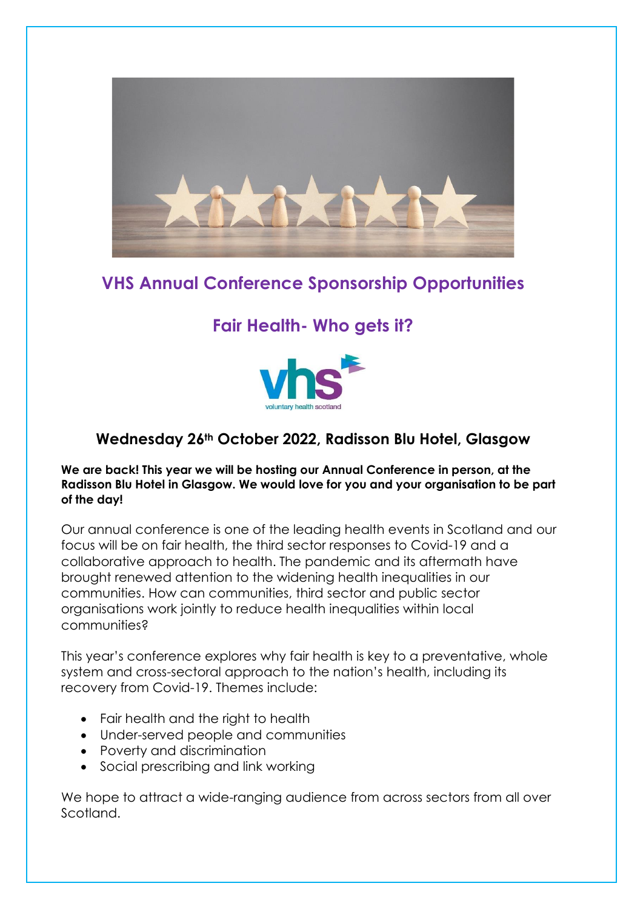

# **VHS Annual Conference Sponsorship Opportunities**

# **Fair Health- Who gets it?**



## **Wednesday 26th October 2022, Radisson Blu Hotel, Glasgow**

#### **We are back! This year we will be hosting our Annual Conference in person, at the Radisson Blu Hotel in Glasgow. We would love for you and your organisation to be part of the day!**

Our annual conference is one of the leading health events in Scotland and our focus will be on fair health, the third sector responses to Covid-19 and a collaborative approach to health. The pandemic and its aftermath have brought renewed attention to the widening health inequalities in our communities. How can communities, third sector and public sector organisations work jointly to reduce health inequalities within local communities?

This year's conference explores why fair health is key to a preventative, whole system and cross-sectoral approach to the nation's health, including its recovery from Covid-19. Themes include:

- Fair health and the right to health
- Under-served people and communities
- Poverty and discrimination
- Social prescribing and link working

We hope to attract a wide-ranging audience from across sectors from all over Scotland.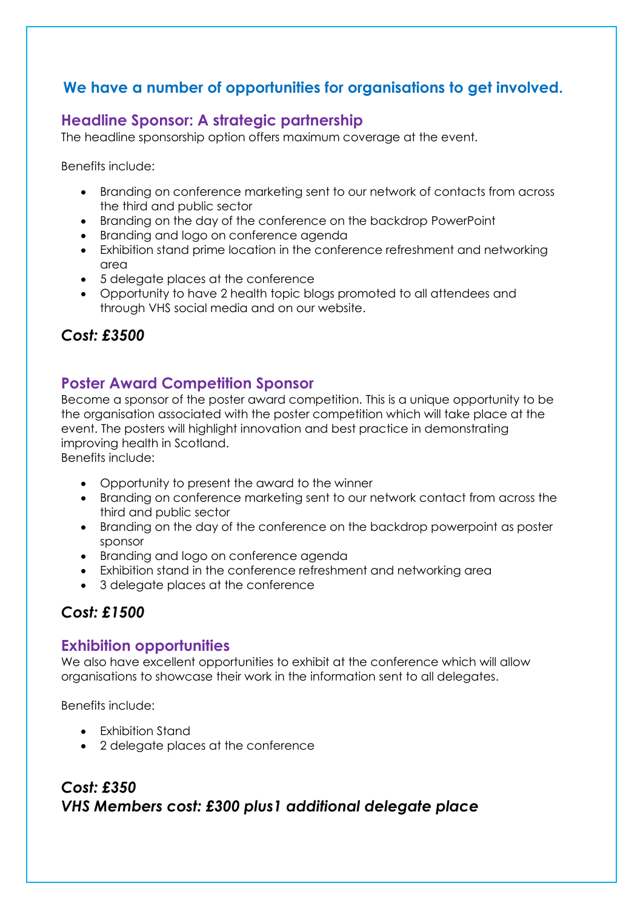#### **We have a number of opportunities for organisations to get involved.**

#### **Headline Sponsor: A strategic partnership**

The headline sponsorship option offers maximum coverage at the event.

Benefits include:

- Branding on conference marketing sent to our network of contacts from across the third and public sector
- Branding on the day of the conference on the backdrop PowerPoint
- Branding and logo on conference agenda
- Exhibition stand prime location in the conference refreshment and networking area
- 5 delegate places at the conference
- Opportunity to have 2 health topic blogs promoted to all attendees and through VHS social media and on our website.

## *Cost: £3500*

#### **Poster Award Competition Sponsor**

Become a sponsor of the poster award competition. This is a unique opportunity to be the organisation associated with the poster competition which will take place at the event. The posters will highlight innovation and best practice in demonstrating improving health in Scotland.

Benefits include:

- Opportunity to present the award to the winner
- Branding on conference marketing sent to our network contact from across the third and public sector
- Branding on the day of the conference on the backdrop powerpoint as poster sponsor
- Branding and logo on conference agenda
- Exhibition stand in the conference refreshment and networking area
- 3 delegate places at the conference

#### *Cost: £1500*

#### **Exhibition opportunities**

We also have excellent opportunities to exhibit at the conference which will allow organisations to showcase their work in the information sent to all delegates.

Benefits include:

- Exhibition Stand
- 2 delegate places at the conference

## *Cost: £350 VHS Members cost: £300 plus1 additional delegate place*